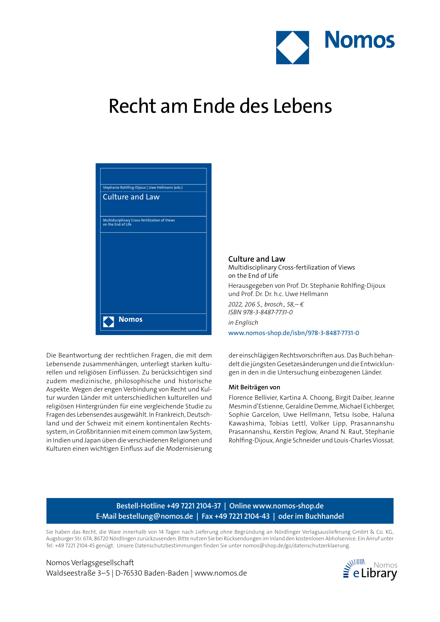

## Recht am Ende des Lebens

|                    | Stephanie Rohlfing-Dijoux   Uwe Hellmann (eds.) |
|--------------------|-------------------------------------------------|
|                    | <b>Culture and Law</b>                          |
|                    |                                                 |
| on the End of Life | Multidisciplinary Cross-fertilization of Views  |
|                    |                                                 |
|                    |                                                 |
|                    |                                                 |
|                    |                                                 |
|                    |                                                 |
|                    |                                                 |
|                    |                                                 |
|                    | <b>Nomos</b>                                    |
|                    |                                                 |

Die Beantwortung der rechtlichen Fragen, die mit dem Lebensende zusammenhängen, unterliegt starken kulturellen und religiösen Einflüssen. Zu berücksichtigen sind zudem medizinische, philosophische und historische Aspekte. Wegen der engen Verbindung von Recht und Kultur wurden Länder mit unterschiedlichen kulturellen und religiösen Hintergründen für eine vergleichende Studie zu Fragen des Lebensendes ausgewählt. In Frankreich, Deutschland und der Schweiz mit einem kontinentalen Rechtssystem, in Großbritannien mit einem common law System, in Indien und Japan üben die verschiedenen Religionen und Kulturen einen wichtigen Einfluss auf die Modernisierung **Culture and Law** Multidisciplinary Cross-fertilization of Views on the End of Life Herausgegeben von Prof. Dr. Stephanie Rohlfing-Dijoux und Prof. Dr. Dr. h.c. Uwe Hellmann *2022, 206 S., brosch., 58,– € ISBN 978-3-8487-7731-0 in Englisch* www.nomos-shop.de/isbn/978-3-8487-7731-0

der einschlägigen Rechtsvorschriften aus. Das Buch behandelt die jüngsten Gesetzesänderungen und die Entwicklungen in den in die Untersuchung einbezogenen Länder.

### **Mit Beiträgen von**

Florence Bellivier, Kartina A. Choong, Birgit Daiber, Jeanne Mesmin d'Estienne, Geraldine Demme, Michael Eichberger, Sophie Garcelon, Uwe Hellmann, Tetsu Isobe, Haluna Kawashima, Tobias Lettl, Volker Lipp, Prasannanshu Prasannanshu, Kerstin Peglow, Anand N. Raut, Stephanie Rohlfing-Dijoux, Angie Schneider und Louis-Charles Viossat.

## **Bestell-Hotline +49 7221 2104-37 | Online www.nomos-shop.de E-Mail bestellung@nomos.de | Fax +49 7221 2104-43 | oder im Buchhandel**

Sie haben das Recht, die Ware innerhalb von 14 Tagen nach Lieferung ohne Begründung an Nördlinger Verlagsauslieferung GmbH & Co. KG, Augsburger Str. 67A, 86720 Nördlingen zurückzusenden. Bitte nutzen Sie bei Rücksendungen im Inland den kostenlosen Abholservice. Ein Anruf unter Tel. +49 7221 2104-45 genügt. Unsere Datenschutzbestimmungen finden Sie unter nomos@shop.de/go/datenschutzerklaerung.

Nomos Verlagsgesellschaft Waldseestraße 3–5 | D-76530 Baden-Baden | www.nomos.de eLibrary